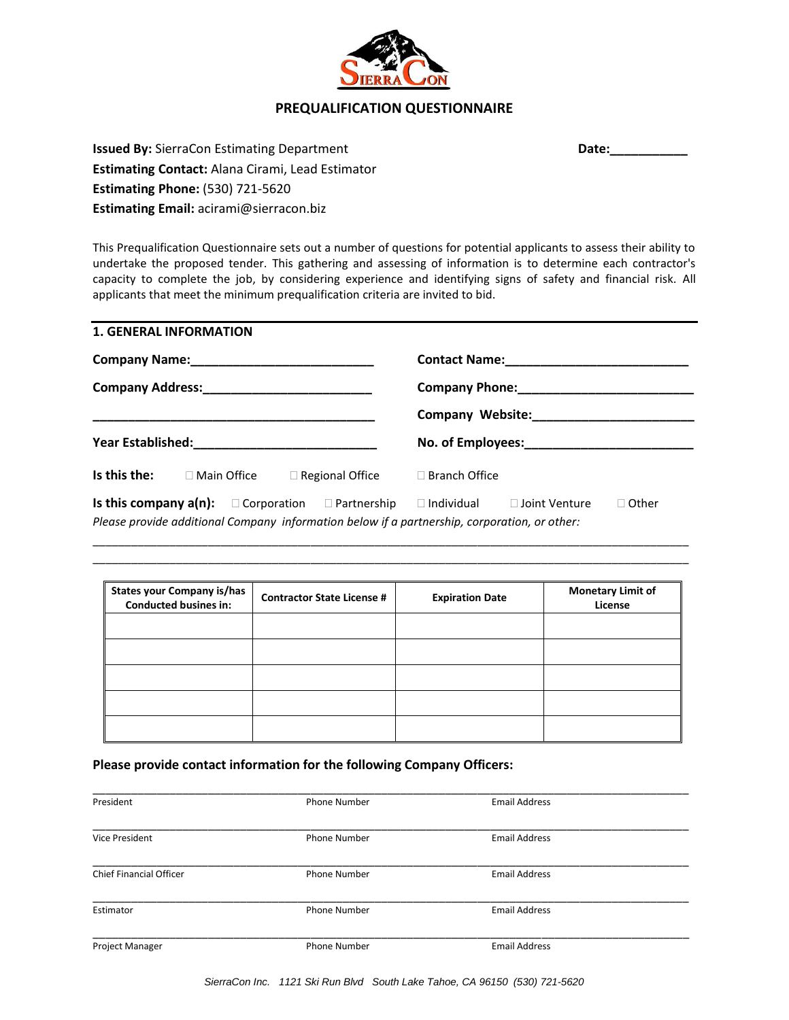

## **PREQUALIFICATION QUESTIONNAIRE**

**Date:\_\_\_\_\_\_\_\_\_\_\_**

**Issued By:** SierraCon Estimating Department **Estimating Contact:** Alana Cirami, Lead Estimator **Estimating Phone:** (530) 721-5620 **Estimating Email:** acirami@sierracon.biz

This Prequalification Questionnaire sets out a number of questions for potential applicants to assess their ability to undertake the proposed tender. This gathering and assessing of information is to determine each contractor's capacity to complete the job, by considering experience and identifying signs of safety and financial risk. All applicants that meet the minimum prequalification criteria are invited to bid.

| <b>1. GENERAL INFORMATION</b>                                                                                                                                                   |                                                        |
|---------------------------------------------------------------------------------------------------------------------------------------------------------------------------------|--------------------------------------------------------|
|                                                                                                                                                                                 |                                                        |
|                                                                                                                                                                                 |                                                        |
|                                                                                                                                                                                 |                                                        |
|                                                                                                                                                                                 |                                                        |
| Is this the:<br>$\Box$ Regional Office<br>$\Box$ Main Office                                                                                                                    | $\Box$ Branch Office                                   |
| <b>Is this company <math>a(n)</math>:</b> $\Box$ Corporation $\Box$ Partnership<br>Please provide additional Company information below if a partnership, corporation, or other: | $\Box$ Other<br>$\Box$ Individual $\Box$ Joint Venture |

| <b>States your Company is/has</b><br><b>Conducted busines in:</b> | <b>Contractor State License #</b> | <b>Expiration Date</b> | <b>Monetary Limit of</b><br>License |
|-------------------------------------------------------------------|-----------------------------------|------------------------|-------------------------------------|
|                                                                   |                                   |                        |                                     |
|                                                                   |                                   |                        |                                     |
|                                                                   |                                   |                        |                                     |
|                                                                   |                                   |                        |                                     |
|                                                                   |                                   |                        |                                     |

\_\_\_\_\_\_\_\_\_\_\_\_\_\_\_\_\_\_\_\_\_\_\_\_\_\_\_\_\_\_\_\_\_\_\_\_\_\_\_\_\_\_\_\_\_\_\_\_\_\_\_\_\_\_\_\_\_\_\_\_\_\_\_\_\_\_\_\_\_\_\_\_\_\_\_\_\_\_\_\_\_\_\_\_\_\_\_\_\_\_\_\_\_ \_\_\_\_\_\_\_\_\_\_\_\_\_\_\_\_\_\_\_\_\_\_\_\_\_\_\_\_\_\_\_\_\_\_\_\_\_\_\_\_\_\_\_\_\_\_\_\_\_\_\_\_\_\_\_\_\_\_\_\_\_\_\_\_\_\_\_\_\_\_\_\_\_\_\_\_\_\_\_\_\_\_\_\_\_\_\_\_\_\_\_\_\_

**Please provide contact information for the following Company Officers:**

| President               | <b>Phone Number</b> | <b>Email Address</b> |  |
|-------------------------|---------------------|----------------------|--|
| <b>Vice President</b>   | <b>Phone Number</b> | <b>Email Address</b> |  |
| Chief Financial Officer | <b>Phone Number</b> | <b>Email Address</b> |  |
| Estimator               | <b>Phone Number</b> | <b>Email Address</b> |  |
| Project Manager         | <b>Phone Number</b> | <b>Email Address</b> |  |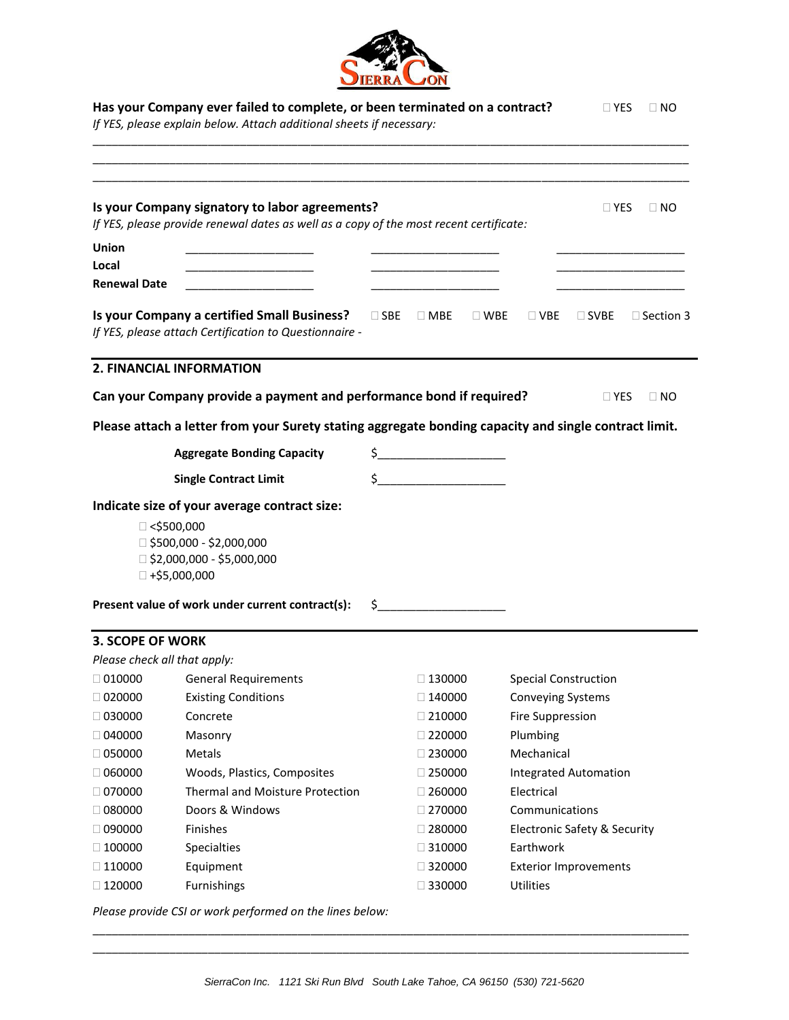

|                         | Has your Company ever failed to complete, or been terminated on a contract?<br>If YES, please explain below. Attach additional sheets if necessary:      |                                                                                                                                                                                                                                                                                                                                                     |                          | $\Box$ Yes                                 | $\Box$ NO   |
|-------------------------|----------------------------------------------------------------------------------------------------------------------------------------------------------|-----------------------------------------------------------------------------------------------------------------------------------------------------------------------------------------------------------------------------------------------------------------------------------------------------------------------------------------------------|--------------------------|--------------------------------------------|-------------|
|                         | Is your Company signatory to labor agreements?<br>If YES, please provide renewal dates as well as a copy of the most recent certificate:                 |                                                                                                                                                                                                                                                                                                                                                     |                          | $\square$ Yes                              | $\sqcup$ NO |
|                         |                                                                                                                                                          |                                                                                                                                                                                                                                                                                                                                                     |                          |                                            |             |
| Union<br>Local          |                                                                                                                                                          |                                                                                                                                                                                                                                                                                                                                                     |                          |                                            |             |
| <b>Renewal Date</b>     |                                                                                                                                                          |                                                                                                                                                                                                                                                                                                                                                     |                          |                                            |             |
|                         | Is your Company a certified Small Business?<br>If YES, please attach Certification to Questionnaire -                                                    |                                                                                                                                                                                                                                                                                                                                                     |                          | □ SBE □ MBE □ WBE □ VBE □ SVBE □ Section 3 |             |
|                         | 2. FINANCIAL INFORMATION                                                                                                                                 |                                                                                                                                                                                                                                                                                                                                                     |                          |                                            |             |
|                         | Can your Company provide a payment and performance bond if required?                                                                                     |                                                                                                                                                                                                                                                                                                                                                     |                          | $\Box$ Yes                                 | $\Box$ NO   |
|                         | Please attach a letter from your Surety stating aggregate bonding capacity and single contract limit.                                                    |                                                                                                                                                                                                                                                                                                                                                     |                          |                                            |             |
|                         | <b>Aggregate Bonding Capacity</b>                                                                                                                        | $\frac{1}{2}$                                                                                                                                                                                                                                                                                                                                       |                          |                                            |             |
|                         | <b>Single Contract Limit</b>                                                                                                                             | $\begin{picture}(20,10) \put(0,0){\line(1,0){10}} \put(15,0){\line(1,0){10}} \put(15,0){\line(1,0){10}} \put(15,0){\line(1,0){10}} \put(15,0){\line(1,0){10}} \put(15,0){\line(1,0){10}} \put(15,0){\line(1,0){10}} \put(15,0){\line(1,0){10}} \put(15,0){\line(1,0){10}} \put(15,0){\line(1,0){10}} \put(15,0){\line(1,0){10}} \put(15,0){\line(1$ |                          |                                            |             |
|                         | Indicate size of your average contract size:                                                                                                             |                                                                                                                                                                                                                                                                                                                                                     |                          |                                            |             |
|                         | $\Box$ <\$500,000<br>□ \$500,000 - \$2,000,000<br>□ \$2,000,000 - \$5,000,000<br>$\Box$ +\$5,000,000<br>Present value of work under current contract(s): | $\sharp$                                                                                                                                                                                                                                                                                                                                            |                          |                                            |             |
| <b>3. SCOPE OF WORK</b> |                                                                                                                                                          |                                                                                                                                                                                                                                                                                                                                                     |                          |                                            |             |
|                         | Please check all that apply:                                                                                                                             |                                                                                                                                                                                                                                                                                                                                                     |                          |                                            |             |
| $\Box$ 010000           | <b>General Requirements</b>                                                                                                                              | $\Box$ 130000                                                                                                                                                                                                                                                                                                                                       |                          | <b>Special Construction</b>                |             |
| $\Box$ 020000           | <b>Existing Conditions</b>                                                                                                                               | $\Box$ 140000                                                                                                                                                                                                                                                                                                                                       | <b>Conveying Systems</b> |                                            |             |
| $\Box$ 030000           | Concrete                                                                                                                                                 | $\Box$ 210000                                                                                                                                                                                                                                                                                                                                       | <b>Fire Suppression</b>  |                                            |             |
| $\Box$ 040000           | Masonry                                                                                                                                                  | $\Box$ 220000                                                                                                                                                                                                                                                                                                                                       | Plumbing                 |                                            |             |
| $\Box$ 050000           | Metals                                                                                                                                                   | $\Box$ 230000                                                                                                                                                                                                                                                                                                                                       | Mechanical               |                                            |             |
| $\Box$ 060000           | Woods, Plastics, Composites                                                                                                                              | $\Box$ 250000                                                                                                                                                                                                                                                                                                                                       |                          | <b>Integrated Automation</b>               |             |
| $\Box$ 070000           | <b>Thermal and Moisture Protection</b>                                                                                                                   | $\Box$ 260000                                                                                                                                                                                                                                                                                                                                       | Electrical               |                                            |             |
| $\Box$ 080000           | Doors & Windows                                                                                                                                          | $\Box$ 270000                                                                                                                                                                                                                                                                                                                                       | Communications           |                                            |             |
| $\Box$ 090000           | Finishes                                                                                                                                                 | $\Box$ 280000                                                                                                                                                                                                                                                                                                                                       |                          | <b>Electronic Safety &amp; Security</b>    |             |
| $\Box$ 100000           | Specialties                                                                                                                                              | $\Box$ 310000                                                                                                                                                                                                                                                                                                                                       | Earthwork                |                                            |             |
| $\Box$ 110000           | Equipment                                                                                                                                                | $\Box$ 320000                                                                                                                                                                                                                                                                                                                                       |                          | <b>Exterior Improvements</b>               |             |
| $\Box$ 120000           | Furnishings                                                                                                                                              | $\Box$ 330000                                                                                                                                                                                                                                                                                                                                       | Utilities                |                                            |             |
|                         | Please provide CSI or work performed on the lines below:                                                                                                 |                                                                                                                                                                                                                                                                                                                                                     |                          |                                            |             |

\_\_\_\_\_\_\_\_\_\_\_\_\_\_\_\_\_\_\_\_\_\_\_\_\_\_\_\_\_\_\_\_\_\_\_\_\_\_\_\_\_\_\_\_\_\_\_\_\_\_\_\_\_\_\_\_\_\_\_\_\_\_\_\_\_\_\_\_\_\_\_\_\_\_\_\_\_\_\_\_\_\_\_\_\_\_\_\_\_\_\_\_\_ \_\_\_\_\_\_\_\_\_\_\_\_\_\_\_\_\_\_\_\_\_\_\_\_\_\_\_\_\_\_\_\_\_\_\_\_\_\_\_\_\_\_\_\_\_\_\_\_\_\_\_\_\_\_\_\_\_\_\_\_\_\_\_\_\_\_\_\_\_\_\_\_\_\_\_\_\_\_\_\_\_\_\_\_\_\_\_\_\_\_\_\_\_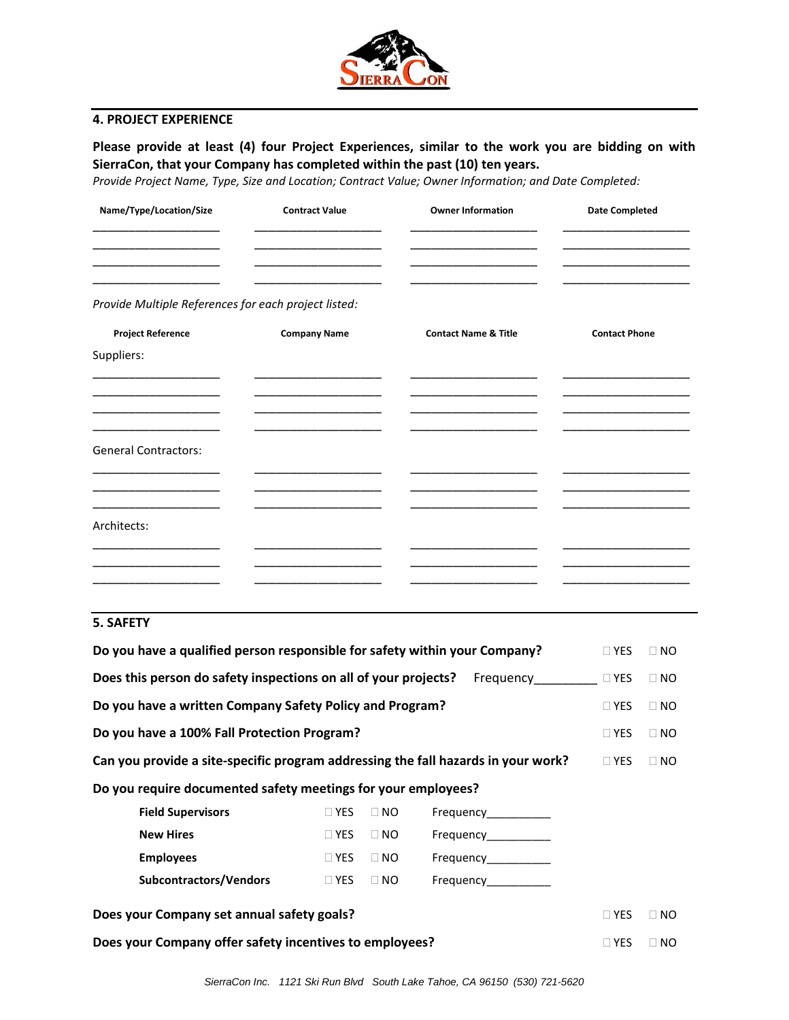

## **4. PROJECT EXPERIENCE**

**Please provide at least (4) four Project Experiences, similar to the work you are bidding on with SierraCon, that your Company has completed within the past (10) ten years.** 

*Provide Project Name, Type, Size and Location; Contract Value; Owner Information; and Date Completed:*

| <b>Contract Value</b> | <b>Owner Information</b>                             | <b>Date Completed</b> |
|-----------------------|------------------------------------------------------|-----------------------|
|                       |                                                      |                       |
| <b>Company Name</b>   | <b>Contact Name &amp; Title</b>                      | <b>Contact Phone</b>  |
|                       |                                                      |                       |
|                       |                                                      |                       |
|                       |                                                      |                       |
|                       |                                                      |                       |
|                       |                                                      |                       |
|                       |                                                      |                       |
|                       |                                                      |                       |
|                       |                                                      |                       |
|                       |                                                      |                       |
|                       |                                                      |                       |
|                       | Provide Multiple References for each project listed: |                       |

## **5. SAFETY**

| Do you have a qualified person responsible for safety within your Company?        |            |           |                       | $\Box$ YES | $\Box$ NO |
|-----------------------------------------------------------------------------------|------------|-----------|-----------------------|------------|-----------|
| Does this person do safety inspections on all of your projects?                   |            |           | Frequency             | $\Box$ YES | $\Box$ NO |
| Do you have a written Company Safety Policy and Program?                          |            |           |                       | $\Box$ YES | $\Box$ NO |
| Do you have a 100% Fall Protection Program?                                       |            |           |                       | $\Box$ YES | $\Box$ NO |
| Can you provide a site-specific program addressing the fall hazards in your work? |            |           |                       | $\Box$ YES | $\Box$ NO |
| Do you require documented safety meetings for your employees?                     |            |           |                       |            |           |
| <b>Field Supervisors</b>                                                          | $\Box$ YES | $\Box$ NO | Frequency             |            |           |
| <b>New Hires</b>                                                                  | $\Box$ YES | $\Box$ NO | Frequency___________  |            |           |
| <b>Employees</b>                                                                  | $\Box$ YES | $\Box$ NO | Frequency____________ |            |           |
| Subcontractors/Vendors                                                            | $\Box$ YES | $\Box$ NO | Frequency             |            |           |
| Does your Company set annual safety goals?                                        |            |           |                       | $\Box$ YES | $\Box$ NO |
| Does your Company offer safety incentives to employees?                           |            |           |                       | $\Box$ YES | $\Box$ NO |